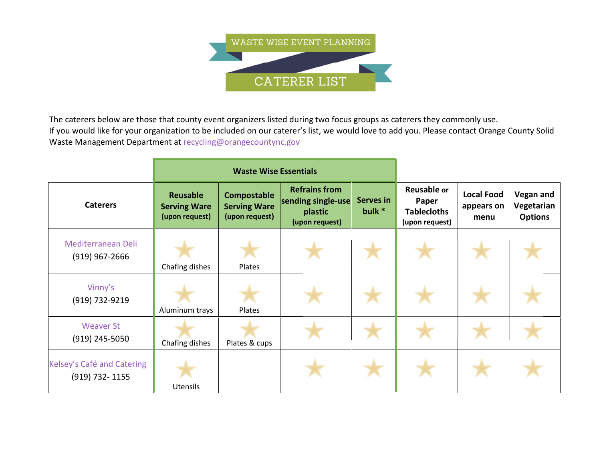

The caterers below are those that county event organizers listed during two focus groups as caterers they commonly use. If you would like for your organization to be included on our caterer's list, we would love to add you. Please contact Orange County Solid Waste Management Department at recycling@orangecountync.gov

|                                              | <b>Waste Wise Essentials</b>                             |                                                             |                                                                         |                              |                                                                     |                                         |                                                  |
|----------------------------------------------|----------------------------------------------------------|-------------------------------------------------------------|-------------------------------------------------------------------------|------------------------------|---------------------------------------------------------------------|-----------------------------------------|--------------------------------------------------|
| <b>Caterers</b>                              | <b>Reusable</b><br><b>Serving Ware</b><br>(upon request) | <b>Compostable</b><br><b>Serving Ware</b><br>(upon request) | <b>Refrains from</b><br>sending single-use<br>plastic<br>(upon request) | <b>Serves in</b><br>bulk $*$ | <b>Reusable or</b><br>Paper<br><b>Tablecloths</b><br>(upon request) | <b>Local Food</b><br>appears on<br>menu | <b>Vegan and</b><br>Vegetarian<br><b>Options</b> |
| Mediterranean Deli<br>$(919)$ 967-2666       | Chafing dishes                                           | Plates                                                      |                                                                         |                              |                                                                     |                                         |                                                  |
| Vinny's<br>(919) 732-9219                    | Aluminum trays                                           | Plates                                                      |                                                                         |                              |                                                                     |                                         |                                                  |
| <b>Weaver St</b><br>$(919)$ 245-5050         | Chafing dishes                                           | Plates & cups                                               |                                                                         |                              |                                                                     |                                         |                                                  |
| Kelsey's Café and Catering<br>(919) 732-1155 | <b>Utensils</b>                                          |                                                             |                                                                         |                              |                                                                     |                                         |                                                  |